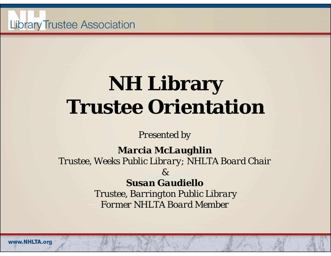

#### **NH Library Trustee Orientation**

*Presented by*

*Marcia McLaughlin*

*Trustee, Weeks Public Library; NHLTA Board Chair*

*&*

*Susan Gaudiello*

*Trustee, Barrington Public Library Former NHLTA Board Member*

www.NHLTA.org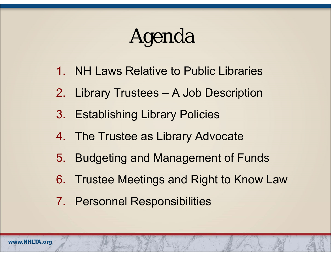### Agenda

- 1. NH Laws Relative to Public Libraries
- 2. Library Trustees A Job Description
- 3. Establishing Library Policies
- 4. The Trustee as Library Advocate
- 5. Budgeting and Management of Funds
- 6. Trustee Meetings and Right to Know Law
- 7. Personnel Responsibilities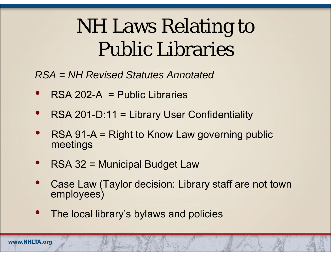### NH Laws Relating to Public Libraries

*RSA = NH Revised Statutes Annotated* 

- $\bullet$ RSA 202-A = Public Libraries
- $\bullet$ RSA 201-D:11 = Library User Confidentiality
- $\bullet$  RSA 91-A = Right to Know Law governing public meetings
- $\bullet$ RSA 32 = Municipal Budget Law
- $\bullet$  Case Law (Taylor decision: Library staff are not town employees)
- $\bullet$ The local library's bylaws and policies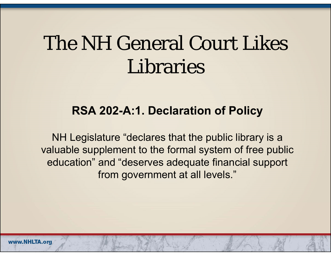### The NH General Court Likes Libraries

#### **RSA 202-A:1. Declaration of Policy**

NH Legislature "declares that the public library is a valuable supplement to the formal system of free public education" and "deserves adequate financial support from government at all levels."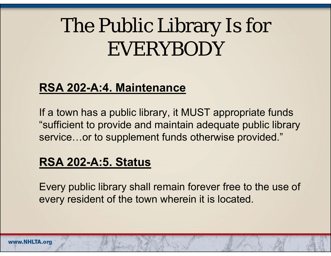#### The Public Library Is for EVERYBODY

#### **RSA 202-A:4. Maintenance**

If a town has a public library, it MUST appropriate funds "sufficient to provide and maintain adequate public library service…or to supplement funds otherwise provided."

#### **RSA 202-A:5. Status**

Every public library shall remain forever free to the use of every resident of the town wherein it is located.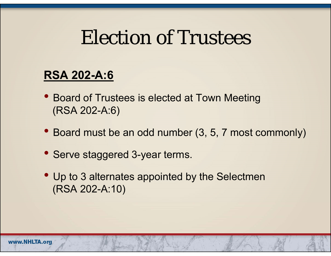#### Election of Trustees

#### **RSA 202-A:6**

- $\bullet$  Board of Trustees is elected at Town Meeting (RSA 202-A:6)
- Board must be an odd number (3, 5, 7 most commonly)
- Serve staggered 3-year terms.
- Up to 3 alternates appointed by the Selectmen (RSA 202-A:10)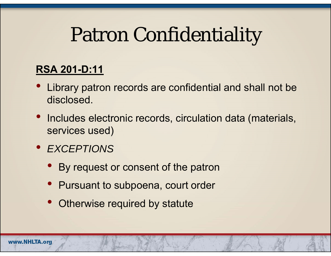#### Patron Confidentiality

#### **RSA 201-D:11**

- Library patron records are confidential and shall not be disclosed.
- $\bullet$  Includes electronic records, circulation data (materials, services used)
- *EXCEPTIONS*
	- By request or consent of the patron
	- Pursuant to subpoena, court order
	- •Otherwise required by statute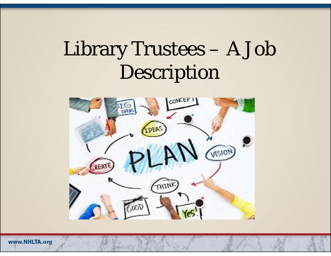### Library Trustees – A Job Description



www.NHLTA.org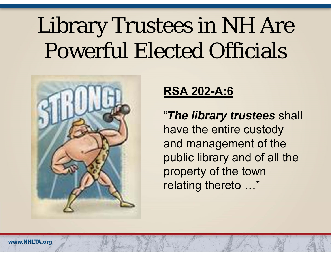## Library Trustees in NH Are Powerful Elected Officials



#### **RSA 202-A:6**

"*The library trustees* shall have the entire custody and management of the public library and of all the property of the town relating thereto …"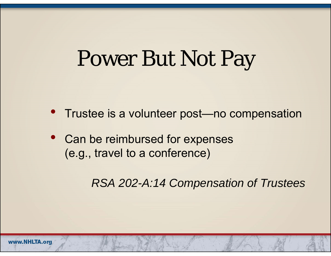### Power But Not Pay

- Trustee is a volunteer post—no compensation
- Can be reimbursed for expenses (e.g., travel to a conference)

*RSA 202-A:14 Compensation of Trustees*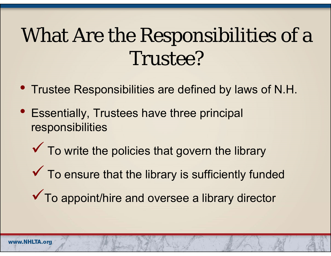### What Are the Responsibilities of a Trustee?

- Trustee Responsibilities are defined by laws of N.H.
- Essentially, Trustees have three principal responsibilities
	- $\checkmark$  $\checkmark$  To write the policies that govern the library
	- $\checkmark$  $\checkmark$  To ensure that the library is sufficiently funded
	- ◆ To appoint/hire and oversee a library director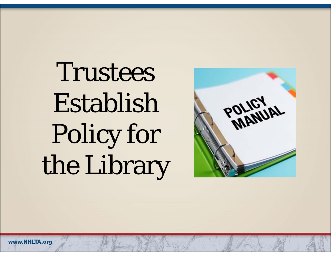Trustees Establish Policy for the Library

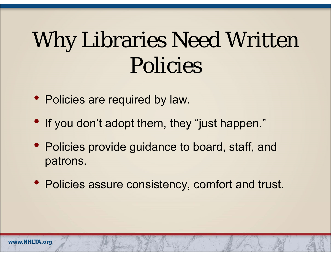## Why Libraries Need Written Policies

- Policies are required by law.
- If you don't adopt them, they "just happen."
- Policies provide guidance to board, staff, and patrons.
- Policies assure consistency, comfort and trust.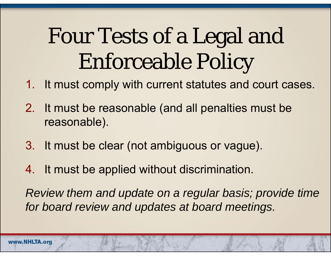## Four Tests of a Legal and Enforceable Policy

- 1. It must comply with current statutes and court cases.
- 2. It must be reasonable (and all penalties must be reasonable).
- 3. It must be clear (not ambiguous or vague).
- 4. It must be applied without discrimination.

*Review them and update on a regular basis; provide time for board review and updates at board meetings.*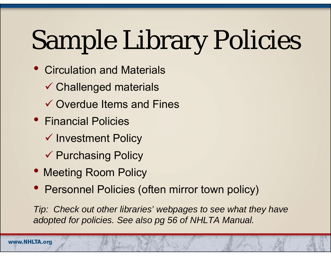# Sample Library Policies

- $\bullet$  Circulation and Materials
	- Challenged materials
	- $\checkmark$  Overdue Items and Fines
- Financial Policies
	- $\checkmark$  Investment Policy
	- **√ Purchasing Policy**
- Meeting Room Policy
- Personnel Policies (often mirror town policy)

*Tip: Check out other libraries' webpages to see what they have adopted for policies. See also pg 56 of NHLTA Manual.*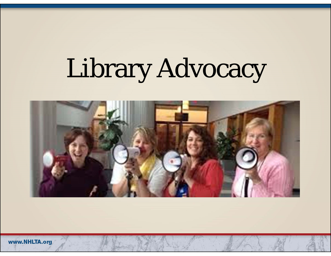## Library Advocacy



www.NHLTA.org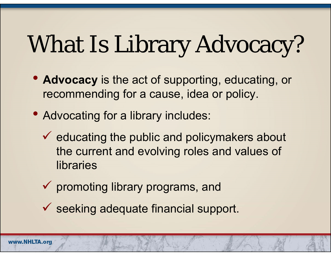## What Is Library Advocacy?

- **Advocacy** is the act of supporting, educating, or recommending for a cause, idea or policy.
- Advocating for a library includes:
	- $\checkmark$  educating the public and policymakers about the current and evolving roles and values of libraries
	- $\checkmark$  promoting library programs, and
	- $\checkmark$  seeking adequate financial support.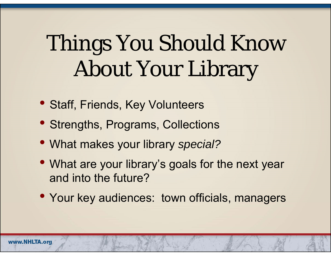## Things You Should Know About Your Library

- Staff, Friends, Key Volunteers
- Strengths, Programs, Collections
- What makes your library *special?*
- What are your library's goals for the next year and into the future?
- Your key audiences: town officials, managers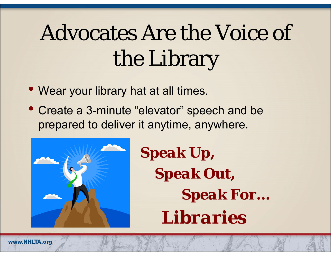## Advocates Are the Voice of the Library

- Wear your library hat at all times.
- Create a 3-minute "elevator" speech and be prepared to deliver it anytime, anywhere.



*Speak Up, Speak Out, Speak For… Libraries*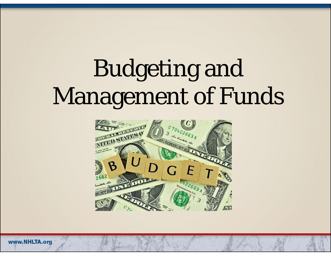## Budgeting and Management of Funds

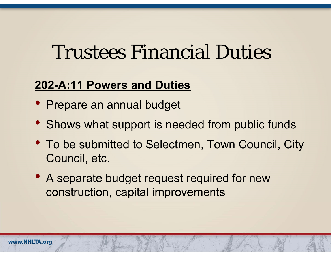#### Trustees Financial Duties

#### **202-A:11 Powers and Duties**

- Prepare an annual budget
- Shows what support is needed from public funds
- To be submitted to Selectmen, Town Council, City Council, etc.
- A separate budget request required for new construction, capital improvements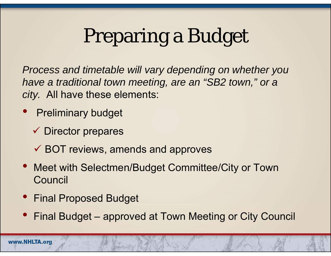### Preparing a Budget

*Process and timetable will vary depending on whether you have a traditional town meeting, are an "SB2 town," or a city.* All have these elements:

- $\bullet$  Preliminary budget
	- **✓ Director prepares**
	- BOT reviews, amends and approves
- Meet with Selectmen/Budget Committee/City or Town **Council**
- Final Proposed Budget
- Final Budget approved at Town Meeting or City Council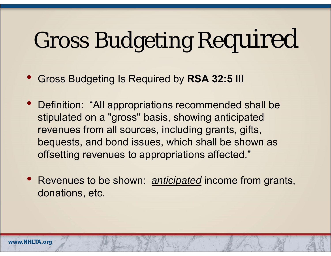## Gross Budgeting Required

 $\bullet$ Gross Budgeting Is Required by **RSA 32:5 III**

- $\bullet$  Definition: "All appropriations recommended shall be stipulated on a "gross'' basis, showing anticipated revenues from all sources, including grants, gifts, bequests, and bond issues, which shall be shown as offsetting revenues to appropriations affected."
- $\bullet$  Revenues to be shown: *anticipated* income from grants, donations, etc.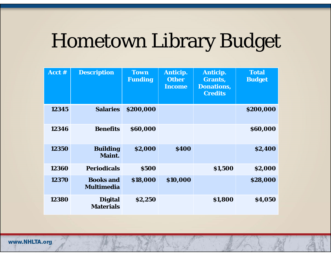### Hometown Library Budget

| Acct $#$ | <b>Description</b>                    | <b>Town</b><br><b>Funding</b> | Anticip.<br><b>Other</b><br><b>Income</b> | Anticip.<br>Grants,<br><b>Donations,</b><br><b>Credits</b> | <b>Total</b><br><b>Budget</b> |
|----------|---------------------------------------|-------------------------------|-------------------------------------------|------------------------------------------------------------|-------------------------------|
| 12345    | <b>Salaries</b>                       | \$200,000                     |                                           |                                                            | \$200,000                     |
| 12346    | <b>Benefits</b>                       | \$60,000                      |                                           |                                                            | \$60,000                      |
| 12350    | <b>Building</b><br>Maint.             | \$2,000                       | <b>\$400</b>                              |                                                            | \$2,400                       |
| 12360    | <b>Periodicals</b>                    | <b>\$500</b>                  |                                           | \$1,500                                                    | \$2,000                       |
| 12370    | <b>Books and</b><br><b>Multimedia</b> | \$18,000                      | \$10,000                                  |                                                            | \$28,000                      |
| 12380    | <b>Digital</b><br><b>Materials</b>    | \$2,250                       |                                           | \$1,800                                                    | \$4,050                       |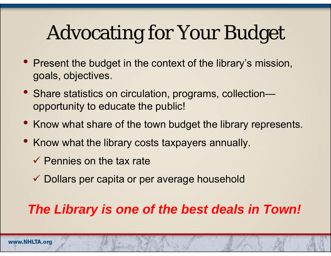### Advocating for Your Budget

- Present the budget in the context of the library's mission, goals, objectives.
- Share statistics on circulation, programs, collection opportunity to educate the public!
- Know what share of the town budget the library represents.
- Know what the library costs taxpayers annually.
	- $\checkmark$  Pennies on the tax rate
	- Dollars per capita or per average household

#### *The Library is one of the best deals in Town!*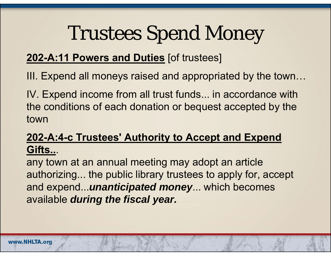#### Trustees Spend Money

#### **202-A:11 Powers and Duties** [of trustees]

III. Expend all moneys raised and appropriated by the town…

IV. Expend income from all trust funds... in accordance with the conditions of each donation or bequest accepted by the town

#### **202-A:4-c Trustees' Authority to Accept and Expend Gifts..**.

any town at an annual meeting may adopt an article authorizing... the public library trustees to apply for, accept and expend...*unanticipated money*... which becomes available *during the fiscal year.*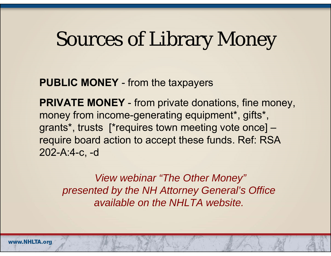#### Sources of Library Money

**PUBLIC MONEY** - from the taxpayers

**PRIVATE MONEY** - from private donations, fine money, money from income-generating equipment\*, gifts\*, grants\*, trusts [\*requires town meeting vote once] – require board action to accept these funds. Ref: RSA 202-A:4-c, -d

*View webinar "The Other Money" presented by the NH Attorney General's Office available on the NHLTA website.*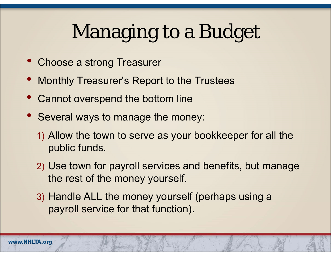### Managing to a Budget

- $\bullet$ Choose a strong Treasurer
- Monthly Treasurer's Report to the Trustees
- $\bullet$ Cannot overspend the bottom line
- Several ways to manage the money:
	- 1) Allow the town to serve as your bookkeeper for all the public funds.
	- 2) Use town for payroll services and benefits, but manage the rest of the money yourself.
	- 3) Handle ALL the money yourself (perhaps using a payroll service for that function).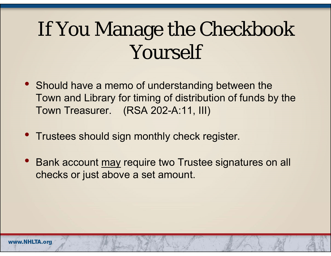### If You Manage the Checkbook Yourself

- Should have a memo of understanding between the Town and Library for timing of distribution of funds by the Town Treasurer. (RSA 202-A:11, III)
- Trustees should sign monthly check register.
- Bank account may require two Trustee signatures on all checks or just above a set amount.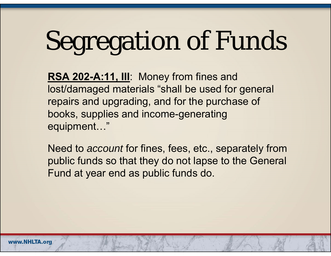# Segregation of Funds

RSA 202-A:11, III: Money from fines and lost/damaged materials "shall be used for general repairs and upgrading, and for the purchase of books, supplies and income-generating equipment…"

Need to *account* for fines, fees, etc., separately from public funds so that they do not lapse to the General Fund at year end as public funds do.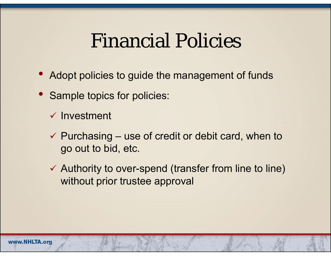#### Financial Policies

- $\bullet$ Adopt policies to guide the management of funds
- Sample topics for policies:
	- $\checkmark$  Investment
	- $\checkmark$  Purchasing use of credit or debit card, when to go out to bid, etc.
	- $\checkmark$  Authority to over-spend (transfer from line to line) without prior trustee approval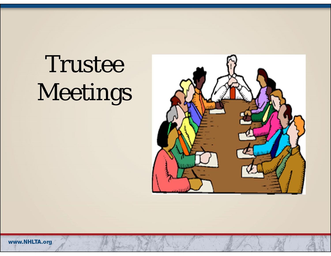## Trustee Meetings



www.NHLTA.org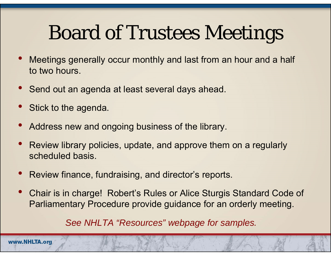### Board of Trustees Meetings

- • Meetings generally occur monthly and last from an hour and a half to two hours.
- •Send out an agenda at least several days ahead.
- •Stick to the agenda.
- •Address new and ongoing business of the library.
- • Review library policies, update, and approve them on a regularly scheduled basis.
- •Review finance, fundraising, and director's reports.
- • Chair is in charge! Robert's Rules or Alice Sturgis Standard Code of Parliamentary Procedure provide guidance for an orderly meeting.

*See NHLTA "Resources" webpage for samples.*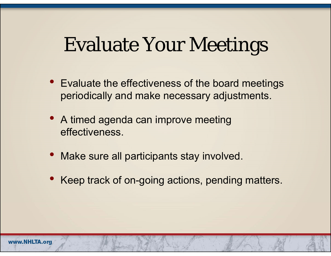#### Evaluate Your Meetings

- Evaluate the effectiveness of the board meetings periodically and make necessary adjustments.
- A timed agenda can improve meeting effectiveness.
- Make sure all participants stay involved.
- Keep track of on-going actions, pending matters.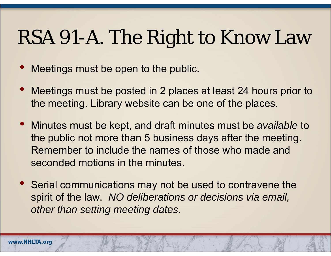### RSA 91-A. The Right to Know Law

- $\bullet$ Meetings must be open to the public.
- $\bullet$  Meetings must be posted in 2 places at least 24 hours prior to the meeting. Library website can be one of the places.
- $\bullet$  Minutes must be kept, and draft minutes must be *available* to the public not more than 5 business days after the meeting. Remember to include the names of those who made and seconded motions in the minutes.
- $\bullet$  Serial communications may not be used to contravene the spirit of the law. *NO deliberations or decisions via email, other than setting meeting dates.*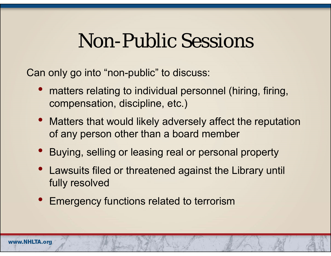#### Non-Public Sessions

Can only go into "non-public" to discuss:

- $\bullet$  matters relating to individual personnel (hiring, firing, compensation, discipline, etc.)
- Matters that would likely adversely affect the reputation of any person other than a board member
- Buying, selling or leasing real or personal property
- Lawsuits filed or threatened against the Library until fully resolved
- Emergency functions related to terrorism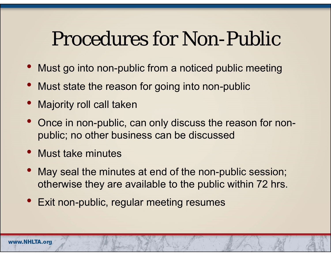#### Procedures for Non-Public

- Must go into non-public from a noticed public meeting
- Must state the reason for going into non-public
- $\bullet$ Majority roll call taken
- Once in non-public, can only discuss the reason for nonpublic; no other business can be discussed
- Must take minutes
- $\bullet$  May seal the minutes at end of the non-public session; otherwise they are available to the public within 72 hrs.
- Exit non-public, regular meeting resumes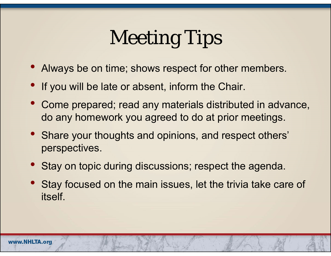### Meeting Tips

- Always be on time; shows respect for other members.
- If you will be late or absent, inform the Chair.
- Come prepared; read any materials distributed in advance, do any homework you agreed to do at prior meetings.
- Share your thoughts and opinions, and respect others' perspectives.
- Stay on topic during discussions; respect the agenda.
- Stay focused on the main issues, let the trivia take care of itself.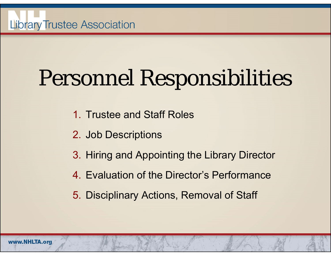## Personnel Responsibilities

- 1. Trustee and Staff Roles
- 2. Job Descriptions
- 3. Hiring and Appointing the Library Director
- 4. Evaluation of the Director's Performance
- 5. Disciplinary Actions, Removal of Staff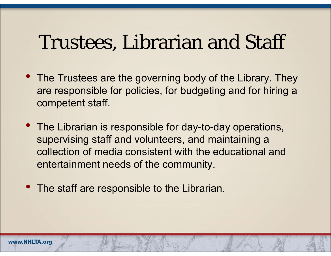#### Trustees, Librarian and Staff

- The Trustees are the governing body of the Library. They are responsible for policies, for budgeting and for hiring a competent staff.
- The Librarian is responsible for day-to-day operations, supervising staff and volunteers, and maintaining a collection of media consistent with the educational and entertainment needs of the community.
- The staff are responsible to the Librarian.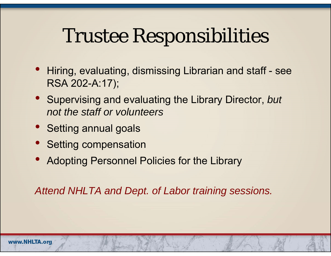#### Trustee Responsibilities

- $\bullet$  Hiring, evaluating, dismissing Librarian and staff - see RSA 202-A:17);
- Supervising and evaluating the Library Director, *but not the staff or volunteers*
- Setting annual goals
- Setting compensation
- $\bullet$ Adopting Personnel Policies for the Library

*Attend NHLTA and Dept. of Labor training sessions.*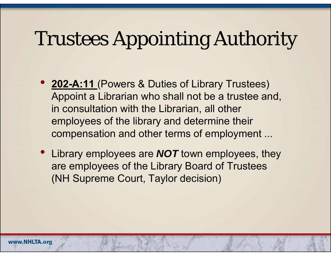### Trustees Appointing Authority

- **202-A:11** (Powers & Duties of Library Trustees) Appoint a Librarian who shall not be a trustee and, in consultation with the Librarian, all other employees of the library and determine their compensation and other terms of employment ...
- Library employees are *NOT* town employees, they are employees of the Library Board of Trustees (NH Supreme Court, Taylor decision)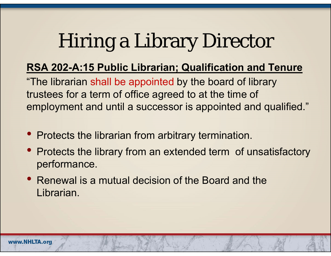### Hiring a Library Director

#### **RSA 202-A:15 Public Librarian; Qualification and Tenure**

"The librarian shall be appointed by the board of library trustees for a term of office agreed to at the time of employment and until a successor is appointed and qualified."

- Protects the librarian from arbitrary termination.
- Protects the library from an extended term of unsatisfactory performance.
- Renewal is a mutual decision of the Board and the Librarian.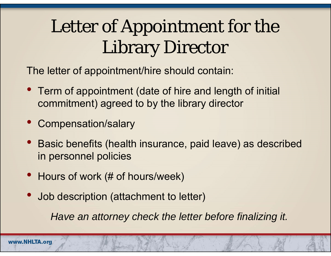#### Letter of Appointment for the Library Director

The letter of appointment/hire should contain:

- Term of appointment (date of hire and length of initial commitment) agreed to by the library director
- $\bullet$ Compensation/salary
- $\bullet$  Basic benefits (health insurance, paid leave) as described in personnel policies
- Hours of work (# of hours/week)
- $\bullet$ Job description (attachment to letter)

*Have an attorney check the letter before finalizing it.*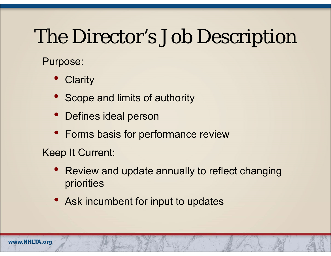#### The Director's Job Description

Purpose:

- $\bullet$ **Clarity**
- $\bullet$ Scope and limits of authority
- $\bullet$ Defines ideal person
- Forms basis for performance review

Keep It Current:

- $\bullet$  Review and update annually to reflect changing priorities
- Ask incumbent for input to updates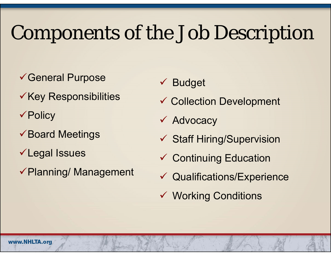### Components of the Job Description

- General Purpose
- $\checkmark$  Key Responsibilities
- **√Policy**
- $\checkmark$  Board Meetings
- Legal Issues
- Planning/ Management
- $\checkmark$ Budget
- Collection Development
- **√ Advocacy**
- Staff Hiring/Supervision
- Continuing Education
- Qualifications/Experience
- Working Conditions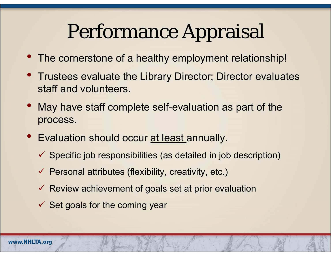#### Performance Appraisal

- $\bullet$ The cornerstone of a healthy employment relationship!
- $\bullet$  Trustees evaluate the Library Director; Director evaluates staff and volunteers.
- $\bullet$  May have staff complete self-evaluation as part of the process.
- $\bullet$ Evaluation should occur at least annually.
	- $\checkmark$  Specific job responsibilities (as detailed in job description)
	- $\checkmark$  Personal attributes (flexibility, creativity, etc.)
	- $\checkmark$  Review achievement of goals set at prior evaluation
	- $\checkmark$  Set goals for the coming year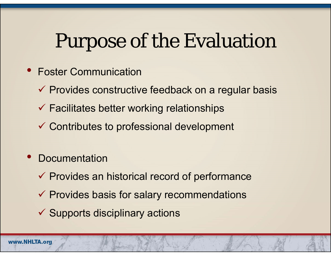#### Purpose of the Evaluation

- $\bullet$  Foster Communication
	- $\checkmark$  Provides constructive feedback on a regular basis
	- $\checkmark$  Facilitates better working relationships
	- Contributes to professional development
- $\bullet$ **Documentation** 
	- $\checkmark$  Provides an historical record of performance
	- $\checkmark$  Provides basis for salary recommendations
	- $\checkmark$  Supports disciplinary actions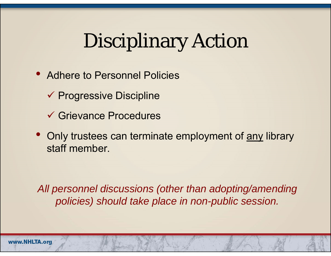### Disciplinary Action

- $\bullet$  Adhere to Personnel Policies
	- $\checkmark$  Progressive Discipline
	- Grievance Procedures
- $\bullet$  Only trustees can terminate employment of any library staff member.

*All personnel discussions (other than adopting/amending policies) should take place in non-public session.*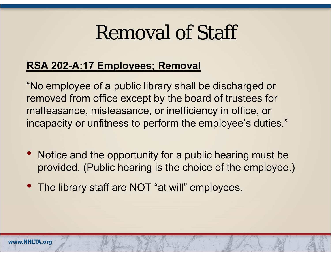#### Removal of Staff

#### **RSA 202-A:17 Employees; Removal**

"No employee of a public library shall be discharged or removed from office except by the board of trustees for malfeasance, misfeasance, or inefficiency in office, or incapacity or unfitness to perform the employee's duties."

- Notice and the opportunity for a public hearing must be provided. (Public hearing is the choice of the employee.)
- The library staff are NOT "at will" employees.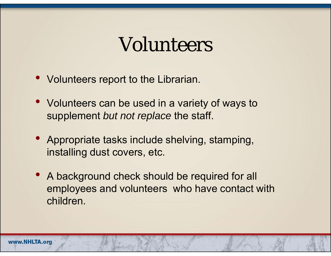#### Volunteers

- Volunteers report to the Librarian.
- Volunteers can be used in a variety of ways to supplement *but not replace* the staff.
- • Appropriate tasks include shelving, stamping, installing dust covers, etc.
- A background check should be required for all employees and volunteers who have contact with children.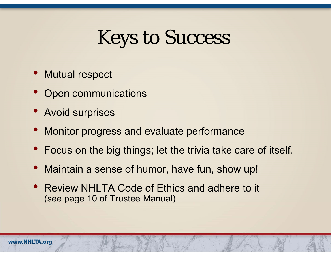#### Keys to Success

- $\bullet$ Mutual respect
- $\bullet$ Open communications
- Avoid surprises
- $\bullet$ Monitor progress and evaluate performance
- Focus on the big things; let the trivia take care of itself.
- $\bullet$ Maintain a sense of humor, have fun, show up!
- $\bullet$  Review NHLTA Code of Ethics and adhere to it (see page 10 of Trustee Manual)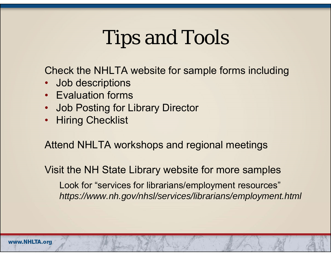#### Tips and Tools

Check the NHLTA website for sample forms including

- •Job descriptions
- Evaluation forms
- •Job Posting for Library Director
- •**Hiring Checklist**

Attend NHLTA workshops and regional meetings

Visit the NH State Library website for more samples

Look for "services for librarians/employment resources" *https://www.nh.gov/nhsl/services/librarians/employment.html*